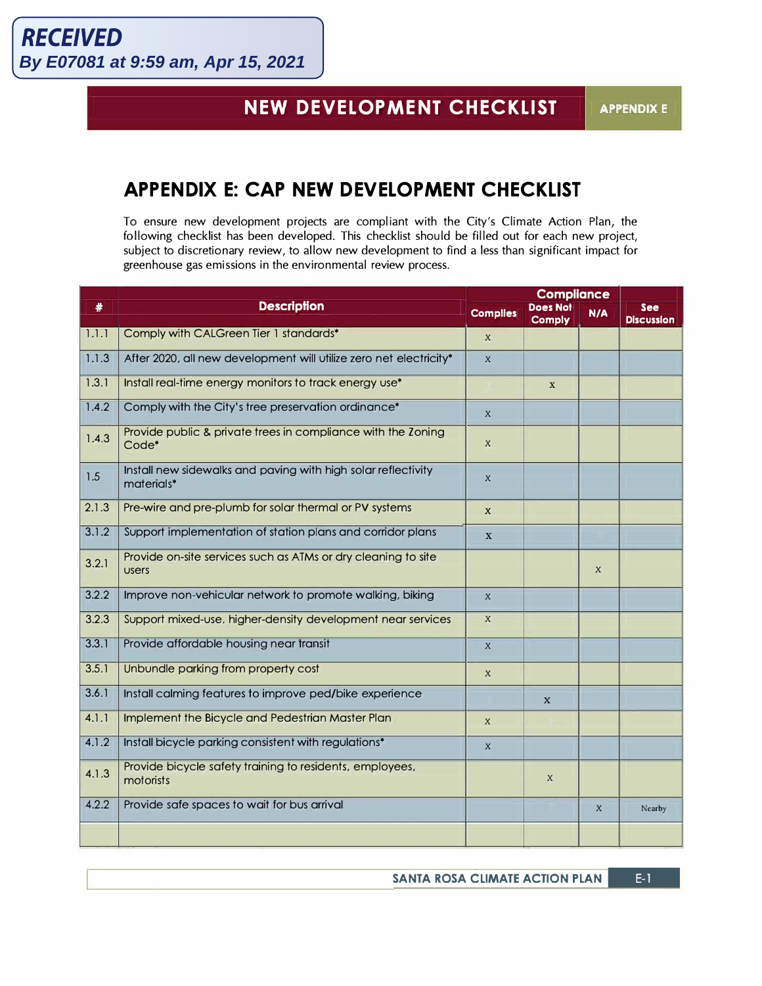## **NEW DEVELOPMENT CHECKLIST**

## **APPENDIX E: CAP NEW DEVELOPMENT CHECKLIST**

To ensure new development projects are compliant with the City's Climate Action Plan, the following checklist has been developed. This checklist should be filled out for each new project, subject to discretionary review, to allow new development to find a less than significant impact for greenhouse gas emissions in the environmental review process.

| #     | <b>Description</b>                                                                | <b>Compliance</b>         |                                  |                  |                          |
|-------|-----------------------------------------------------------------------------------|---------------------------|----------------------------------|------------------|--------------------------|
|       |                                                                                   | <b>Complies</b>           | <b>Does Not</b><br><b>Comply</b> | N/A              | See<br><b>Discussion</b> |
| 1.1.1 | Comply with CALGreen Tier 1 standards*                                            | $\mathbf{x}$              |                                  |                  |                          |
| 1.1.3 | After 2020, all new development will utilize zero net electricity*                | $\mathsf{X}$              |                                  |                  |                          |
| 1.3.1 | Install real-time energy monitors to track energy use*                            |                           | X                                |                  |                          |
| 1.4.2 | Comply with the City's tree preservation ordinance*                               | $\boldsymbol{X}$          |                                  |                  |                          |
| 1.4.3 | Provide public & private trees in compliance with the Zoning<br>Code <sup>*</sup> | $\boldsymbol{X}$          |                                  |                  |                          |
| 1.5   | Install new sidewalks and paving with high solar reflectivity<br>materials*       | X                         |                                  |                  |                          |
| 2.1.3 | Pre-wire and pre-plumb for solar thermal or PV systems                            | $\boldsymbol{x}$          |                                  |                  |                          |
| 3.1.2 | Support implementation of station plans and corridor plans                        | X                         |                                  |                  |                          |
| 3.2.1 | Provide on-site services such as ATMs or dry cleaning to site<br><b>USERS</b>     |                           |                                  | $\mathbf{x}$     |                          |
| 3.2.2 | Improve non-vehicular network to promote walking, biking                          | $\mathbf{x}$              |                                  |                  |                          |
| 3.2.3 | Support mixed-use, higher-density development near services                       | $\boldsymbol{\mathsf{X}}$ |                                  |                  |                          |
| 3.3.1 | Provide affordable housing near transit                                           | $\boldsymbol{X}$          |                                  |                  |                          |
| 3.5.1 | Unbundle parking from property cost                                               | $\mathsf{x}$              |                                  |                  |                          |
| 3.6.1 | Install calming features to improve ped/bike experience                           |                           | $\mathbf x$                      |                  |                          |
| 4.1.1 | Implement the Bicycle and Pedestrian Master Plan                                  | $\mathsf{x}$              |                                  |                  |                          |
| 4.1.2 | Install bicycle parking consistent with regulations*                              | $\mathbf{x}$              |                                  |                  |                          |
| 4.1.3 | Provide bicycle safety training to residents, employees,<br>motorists             |                           | $\mathsf{X}$                     |                  |                          |
| 4.2.2 | Provide safe spaces to wait for bus arrival                                       |                           |                                  | $\boldsymbol{X}$ | Nearby                   |
|       |                                                                                   |                           |                                  |                  |                          |

**SANTA ROSA CLIMATE ACTION PLAN | E-1**